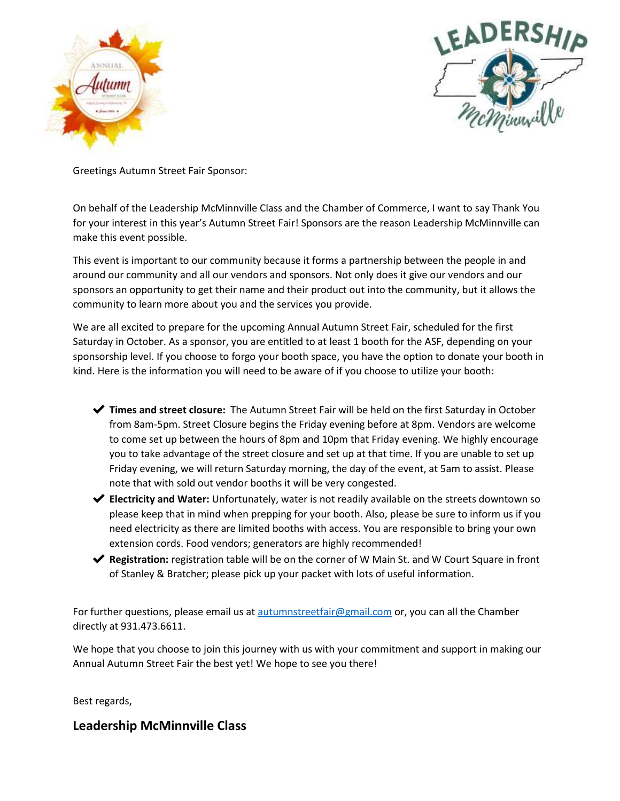



Greetings Autumn Street Fair Sponsor:

On behalf of the Leadership McMinnville Class and the Chamber of Commerce, I want to say Thank You for your interest in this year's Autumn Street Fair! Sponsors are the reason Leadership McMinnville can make this event possible.

This event is important to our community because it forms a partnership between the people in and around our community and all our vendors and sponsors. Not only does it give our vendors and our sponsors an opportunity to get their name and their product out into the community, but it allows the community to learn more about you and the services you provide.

We are all excited to prepare for the upcoming Annual Autumn Street Fair, scheduled for the first Saturday in October. As a sponsor, you are entitled to at least 1 booth for the ASF, depending on your sponsorship level. If you choose to forgo your booth space, you have the option to donate your booth in kind. Here is the information you will need to be aware of if you choose to utilize your booth:

- ✔ **Times and street closure:** The Autumn Street Fair will be held on the first Saturday in October from 8am-5pm. Street Closure begins the Friday evening before at 8pm. Vendors are welcome to come set up between the hours of 8pm and 10pm that Friday evening. We highly encourage you to take advantage of the street closure and set up at that time. If you are unable to set up Friday evening, we will return Saturday morning, the day of the event, at 5am to assist. Please note that with sold out vendor booths it will be very congested.
- ✔ **Electricity and Water:** Unfortunately, water is not readily available on the streets downtown so please keep that in mind when prepping for your booth. Also, please be sure to inform us if you need electricity as there are limited booths with access. You are responsible to bring your own extension cords. Food vendors; generators are highly recommended!
- ◆ **Registration:** registration table will be on the corner of W Main St. and W Court Square in front of Stanley & Bratcher; please pick up your packet with lots of useful information.

For further questions, please email us at **autumnstreetfair@gmail.com** or, you can all the Chamber directly at 931.473.6611.

We hope that you choose to join this journey with us with your commitment and support in making our Annual Autumn Street Fair the best yet! We hope to see you there!

Best regards,

## **Leadership McMinnville Class**